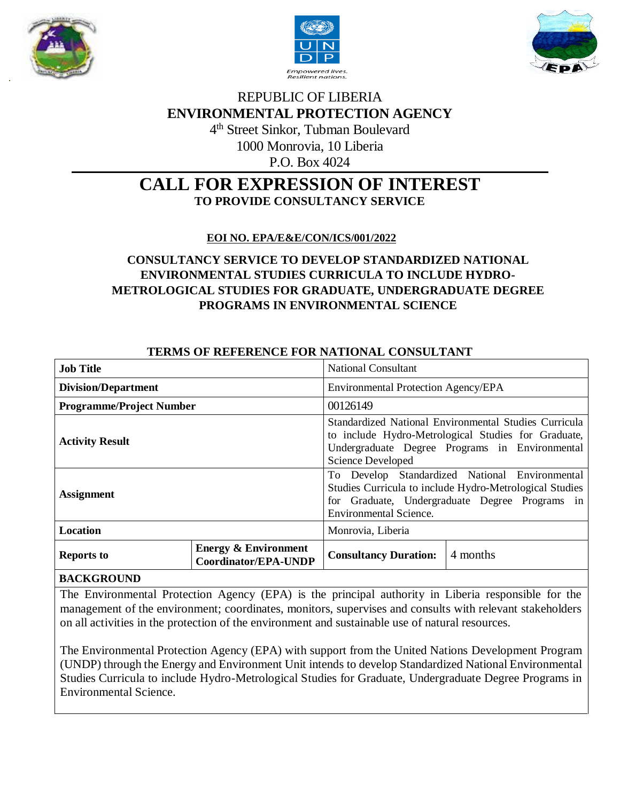





# REPUBLIC OF LIBERIA **ENVIRONMENTAL PROTECTION AGENCY** 4 th Street Sinkor, Tubman Boulevard

1000 Monrovia, 10 Liberia

P.O. Box 4024

## **CALL FOR EXPRESSION OF INTEREST TO PROVIDE CONSULTANCY SERVICE**

 **EOI NO. EPA/E&E/CON/ICS/001/2022**

## **CONSULTANCY SERVICE TO DEVELOP STANDARDIZED NATIONAL ENVIRONMENTAL STUDIES CURRICULA TO INCLUDE HYDRO-METROLOGICAL STUDIES FOR GRADUATE, UNDERGRADUATE DEGREE PROGRAMS IN ENVIRONMENTAL SCIENCE**

| TERMO OF REFERENCE FOR NATIONAL CONSULTANT |                                                         |                                                                                                                                                                                              |
|--------------------------------------------|---------------------------------------------------------|----------------------------------------------------------------------------------------------------------------------------------------------------------------------------------------------|
| <b>Job Title</b>                           |                                                         | <b>National Consultant</b>                                                                                                                                                                   |
| <b>Division/Department</b>                 |                                                         | Environmental Protection Agency/EPA                                                                                                                                                          |
| <b>Programme/Project Number</b>            |                                                         | 00126149                                                                                                                                                                                     |
| <b>Activity Result</b>                     |                                                         | Standardized National Environmental Studies Curricula<br>to include Hydro-Metrological Studies for Graduate,<br>Undergraduate Degree Programs in Environmental<br>Science Developed          |
| <b>Assignment</b>                          |                                                         | To Develop Standardized National Environmental<br>Studies Curricula to include Hydro-Metrological Studies<br>for Graduate, Undergraduate Degree Programs in<br><b>Environmental Science.</b> |
| <b>Location</b>                            |                                                         | Monrovia, Liberia                                                                                                                                                                            |
| <b>Reports to</b>                          | <b>Energy &amp; Environment</b><br>Coordinator/EPA-UNDP | 4 months<br><b>Consultancy Duration:</b>                                                                                                                                                     |

## **TERMS OF REFERENCE FOR NATIONAL CONSULTANT**

#### **BACKGROUND**

The Environmental Protection Agency (EPA) is the principal authority in Liberia responsible for the management of the environment; coordinates, monitors, supervises and consults with relevant stakeholders on all activities in the protection of the environment and sustainable use of natural resources.

The Environmental Protection Agency (EPA) with support from the United Nations Development Program (UNDP) through the Energy and Environment Unit intends to develop Standardized National Environmental Studies Curricula to include Hydro-Metrological Studies for Graduate, Undergraduate Degree Programs in Environmental Science.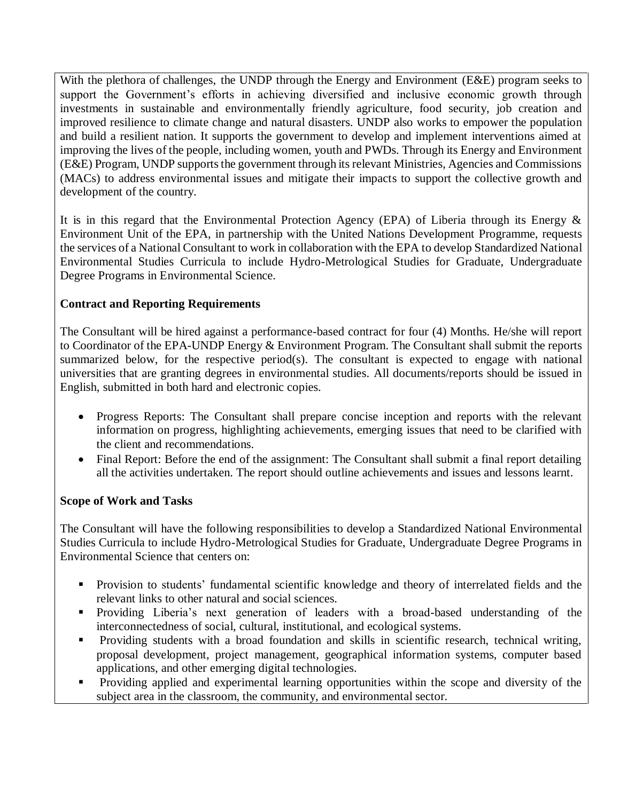With the plethora of challenges, the UNDP through the Energy and Environment (E&E) program seeks to support the Government's efforts in achieving diversified and inclusive economic growth through investments in sustainable and environmentally friendly agriculture, food security, job creation and improved resilience to climate change and natural disasters. UNDP also works to empower the population and build a resilient nation. It supports the government to develop and implement interventions aimed at improving the lives of the people, including women, youth and PWDs. Through its Energy and Environment (E&E) Program, UNDP supports the government through its relevant Ministries, Agencies and Commissions (MACs) to address environmental issues and mitigate their impacts to support the collective growth and development of the country.

It is in this regard that the Environmental Protection Agency (EPA) of Liberia through its Energy & Environment Unit of the EPA, in partnership with the United Nations Development Programme, requests the services of a National Consultant to work in collaboration with the EPA to develop Standardized National Environmental Studies Curricula to include Hydro-Metrological Studies for Graduate, Undergraduate Degree Programs in Environmental Science.

## **Contract and Reporting Requirements**

The Consultant will be hired against a performance-based contract for four (4) Months. He/she will report to Coordinator of the EPA-UNDP Energy & Environment Program. The Consultant shall submit the reports summarized below, for the respective period(s). The consultant is expected to engage with national universities that are granting degrees in environmental studies. All documents/reports should be issued in English, submitted in both hard and electronic copies.

- Progress Reports: The Consultant shall prepare concise inception and reports with the relevant information on progress, highlighting achievements, emerging issues that need to be clarified with the client and recommendations.
- Final Report: Before the end of the assignment: The Consultant shall submit a final report detailing all the activities undertaken. The report should outline achievements and issues and lessons learnt.

## **Scope of Work and Tasks**

The Consultant will have the following responsibilities to develop a Standardized National Environmental Studies Curricula to include Hydro-Metrological Studies for Graduate, Undergraduate Degree Programs in Environmental Science that centers on:

- Provision to students' fundamental scientific knowledge and theory of interrelated fields and the relevant links to other natural and social sciences.
- Providing Liberia's next generation of leaders with a broad-based understanding of the interconnectedness of social, cultural, institutional, and ecological systems.
- Providing students with a broad foundation and skills in scientific research, technical writing, proposal development, project management, geographical information systems, computer based applications, and other emerging digital technologies.
- **Providing applied and experimental learning opportunities within the scope and diversity of the** subject area in the classroom, the community, and environmental sector.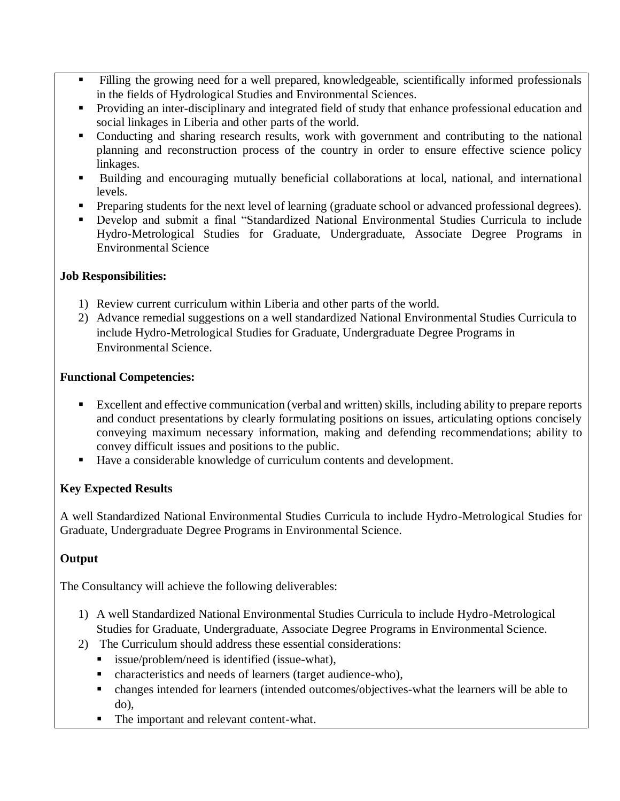- Filling the growing need for a well prepared, knowledgeable, scientifically informed professionals in the fields of Hydrological Studies and Environmental Sciences.
- **Providing an inter-disciplinary and integrated field of study that enhance professional education and** social linkages in Liberia and other parts of the world.
- Conducting and sharing research results, work with government and contributing to the national planning and reconstruction process of the country in order to ensure effective science policy linkages.
- Building and encouraging mutually beneficial collaborations at local, national, and international levels.
- **Preparing students for the next level of learning (graduate school or advanced professional degrees).**
- Develop and submit a final "Standardized National Environmental Studies Curricula to include Hydro-Metrological Studies for Graduate, Undergraduate, Associate Degree Programs in Environmental Science

#### **Job Responsibilities:**

- 1) Review current curriculum within Liberia and other parts of the world.
- 2) Advance remedial suggestions on a well standardized National Environmental Studies Curricula to include Hydro-Metrological Studies for Graduate, Undergraduate Degree Programs in Environmental Science.

#### **Functional Competencies:**

- Excellent and effective communication (verbal and written) skills, including ability to prepare reports and conduct presentations by clearly formulating positions on issues, articulating options concisely conveying maximum necessary information, making and defending recommendations; ability to convey difficult issues and positions to the public.
- Have a considerable knowledge of curriculum contents and development.

## **Key Expected Results**

A well Standardized National Environmental Studies Curricula to include Hydro-Metrological Studies for Graduate, Undergraduate Degree Programs in Environmental Science.

## **Output**

The Consultancy will achieve the following deliverables:

- 1) A well Standardized National Environmental Studies Curricula to include Hydro-Metrological Studies for Graduate, Undergraduate, Associate Degree Programs in Environmental Science.
- 2) The Curriculum should address these essential considerations:
	- issue/problem/need is identified (issue-what),
	- characteristics and needs of learners (target audience-who),
	- changes intended for learners (intended outcomes/objectives-what the learners will be able to do),
	- The important and relevant content-what.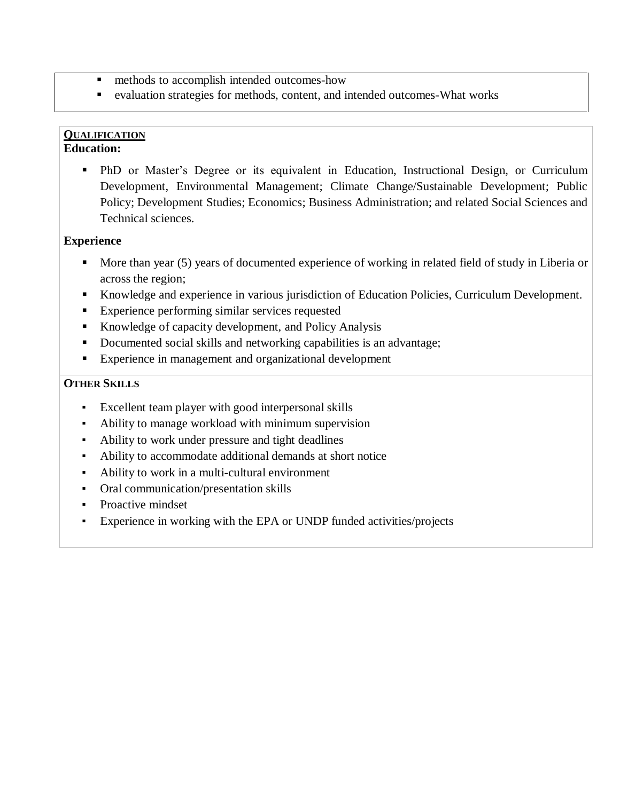- **n** methods to accomplish intended outcomes-how
- evaluation strategies for methods, content, and intended outcomes-What works

# **QUALIFICATION**

## **Education:**

 PhD or Master's Degree or its equivalent in Education, Instructional Design, or Curriculum Development, Environmental Management; Climate Change/Sustainable Development; Public Policy; Development Studies; Economics; Business Administration; and related Social Sciences and Technical sciences.

#### **Experience**

- More than year (5) years of documented experience of working in related field of study in Liberia or across the region;
- Knowledge and experience in various jurisdiction of Education Policies, Curriculum Development.
- **Experience performing similar services requested**
- Knowledge of capacity development, and Policy Analysis
- Documented social skills and networking capabilities is an advantage;
- **Experience in management and organizational development**

#### **OTHER SKILLS**

- Excellent team player with good interpersonal skills
- Ability to manage workload with minimum supervision
- Ability to work under pressure and tight deadlines
- Ability to accommodate additional demands at short notice
- Ability to work in a multi-cultural environment
- Oral communication/presentation skills
- Proactive mindset
- Experience in working with the EPA or UNDP funded activities/projects